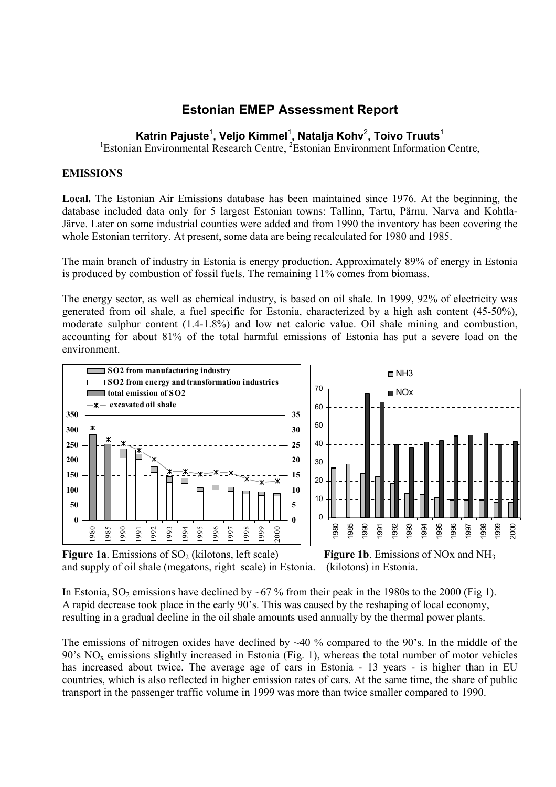# **Estonian EMEP Assessment Report**

# **Katrin Pajuste**<sup>1</sup> **, Veljo Kimmel**<sup>1</sup> **, Natalja Kohv**<sup>2</sup> **, Toivo Truuts**<sup>1</sup>

<sup>1</sup>Estonian Environmental Research Centre, <sup>2</sup>Estonian Environment Information Centre,

# **EMISSIONS**

**Local.** The Estonian Air Emissions database has been maintained since 1976. At the beginning, the database included data only for 5 largest Estonian towns: Tallinn, Tartu, Pärnu, Narva and Kohtla-Järve. Later on some industrial counties were added and from 1990 the inventory has been covering the whole Estonian territory. At present, some data are being recalculated for 1980 and 1985.

The main branch of industry in Estonia is energy production. Approximately 89% of energy in Estonia is produced by combustion of fossil fuels. The remaining 11% comes from biomass.

The energy sector, as well as chemical industry, is based on oil shale. In 1999, 92% of electricity was generated from oil shale, a fuel specific for Estonia, characterized by a high ash content (45-50%), moderate sulphur content (1.4-1.8%) and low net caloric value. Oil shale mining and combustion, accounting for about 81% of the total harmful emissions of Estonia has put a severe load on the environment.



**Figure 1a**. Emissions of  $SO_2$  (kilotons, left scale) **Figure 1b**. Emissions of NOx and NH<sub>3</sub> and supply of oil shale (megatons, right scale) in Estonia. (kilotons) in Estonia.

In Estonia,  $SO_2$  emissions have declined by ~67 % from their peak in the 1980s to the 2000 (Fig 1). A rapid decrease took place in the early 90's. This was caused by the reshaping of local economy, resulting in a gradual decline in the oil shale amounts used annually by the thermal power plants.

The emissions of nitrogen oxides have declined by  $~40$  % compared to the 90's. In the middle of the 's NO<sub>x</sub> emissions slightly increased in Estonia (Fig. 1), whereas the total number of motor vehicles has increased about twice. The average age of cars in Estonia - 13 years - is higher than in EU countries, which is also reflected in higher emission rates of cars. At the same time, the share of public transport in the passenger traffic volume in 1999 was more than twice smaller compared to 1990.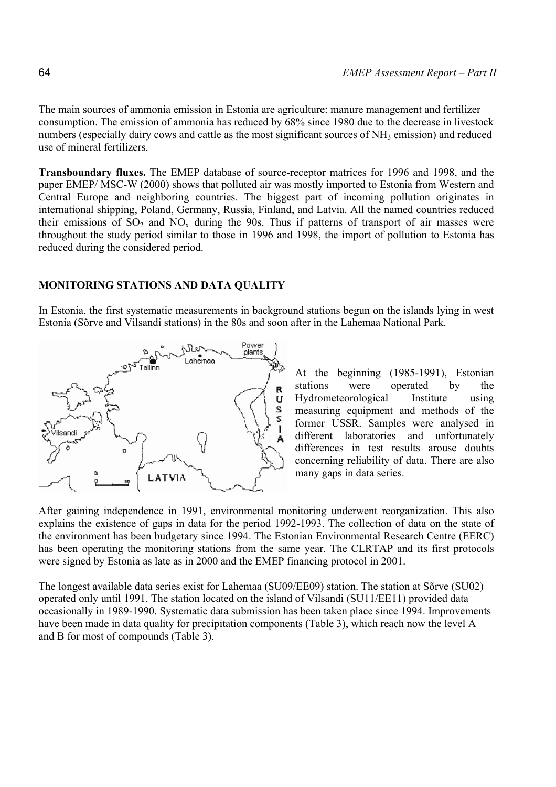The main sources of ammonia emission in Estonia are agriculture: manure management and fertilizer consumption. The emission of ammonia has reduced by 68% since 1980 due to the decrease in livestock numbers (especially dairy cows and cattle as the most significant sources of  $NH<sub>3</sub>$  emission) and reduced use of mineral fertilizers.

**Transboundary fluxes.** The EMEP database of source-receptor matrices for 1996 and 1998, and the paper EMEP/ MSC-W (2000) shows that polluted air was mostly imported to Estonia from Western and Central Europe and neighboring countries. The biggest part of incoming pollution originates in international shipping, Poland, Germany, Russia, Finland, and Latvia. All the named countries reduced their emissions of  $SO_2$  and  $NO_x$  during the 90s. Thus if patterns of transport of air masses were throughout the study period similar to those in 1996 and 1998, the import of pollution to Estonia has reduced during the considered period.

#### **MONITORING STATIONS AND DATA QUALITY**

In Estonia, the first systematic measurements in background stations begun on the islands lying in west Estonia (Sõrve and Vilsandi stations) in the 80s and soon after in the Lahemaa National Park.



At the beginning (1985-1991), Estonian stations were operated by the Hydrometeorological Institute using measuring equipment and methods of the former USSR. Samples were analysed in different laboratories and unfortunately differences in test results arouse doubts concerning reliability of data. There are also many gaps in data series.

After gaining independence in 1991, environmental monitoring underwent reorganization. This also explains the existence of gaps in data for the period 1992-1993. The collection of data on the state of the environment has been budgetary since 1994. The Estonian Environmental Research Centre (EERC) has been operating the monitoring stations from the same year. The CLRTAP and its first protocols were signed by Estonia as late as in 2000 and the EMEP financing protocol in 2001.

The longest available data series exist for Lahemaa (SU09/EE09) station. The station at Sõrve (SU02) operated only until 1991. The station located on the island of Vilsandi (SU11/EE11) provided data occasionally in 1989-1990. Systematic data submission has been taken place since 1994. Improvements have been made in data quality for precipitation components (Table 3), which reach now the level A and B for most of compounds (Table 3).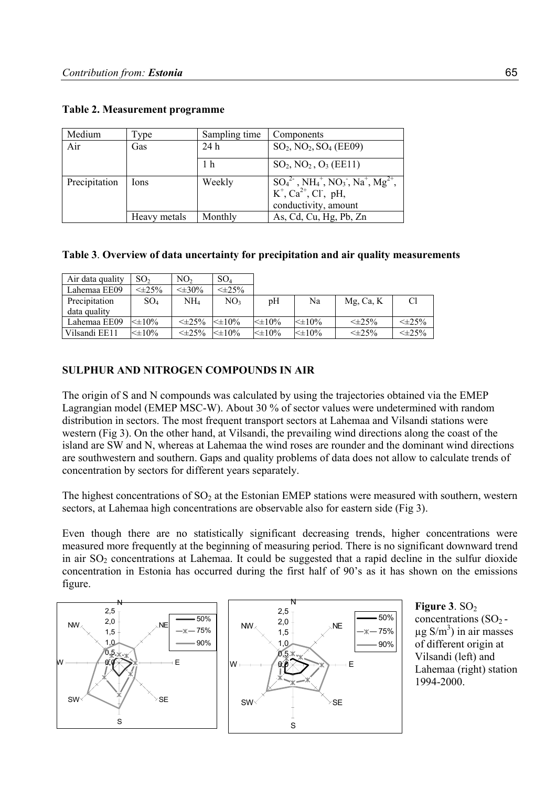| Medium        | l'ype        | Sampling time  | Components                                                                                                                                                                                  |
|---------------|--------------|----------------|---------------------------------------------------------------------------------------------------------------------------------------------------------------------------------------------|
| Air           | Gas          | 24h            | $SO_2$ , NO <sub>2</sub> , SO <sub>4</sub> (EE09)                                                                                                                                           |
|               |              | 1 <sub>h</sub> | $SO_2$ , NO <sub>2</sub> , O <sub>3</sub> (EE11)                                                                                                                                            |
| Precipitation | Ions         | Weekly         | $SO_4^{2}$ , NH <sub>4</sub> <sup>+</sup> , NO <sub>3</sub> <sup>-</sup> , Na <sup>+</sup> , Mg <sup>2+</sup> ,<br>$K^+$ , Ca <sup>2+</sup> , Cl <sup>-</sup> , pH,<br>conductivity, amount |
|               | Heavy metals | Monthly        | As, Cd, Cu, Hg, Pb, Zn                                                                                                                                                                      |

### **Table 2. Measurement programme**

#### **Table 3**. **Overview of data uncertainty for precipitation and air quality measurements**

| Air data quality | SO <sub>2</sub> | NO,             | SO <sub>4</sub> |             |             |                 |                  |
|------------------|-----------------|-----------------|-----------------|-------------|-------------|-----------------|------------------|
| Lahemaa EE09     | $\leq \pm 25\%$ | $\leq \pm 30\%$ | $\leq \pm 25\%$ |             |             |                 |                  |
| Precipitation    | $SO_4$          | NH4             | NO <sub>3</sub> | pH          | Na          | $Mg$ , Ca, K    |                  |
| data quality     |                 |                 |                 |             |             |                 |                  |
| Lahemaa EE09     | $<\pm 10\%$     | $\leq \pm 25\%$ | $\leq \pm 10\%$ | $<\pm 10\%$ | $<\pm 10\%$ | $\leq \pm 25\%$ | $\leq \pm 2.5\%$ |
| Vilsandi EE11    | $\leq \pm 10\%$ | $\leq \pm 25\%$ | $\leq \pm 10\%$ | $<\pm 10\%$ | $<\pm 10\%$ | $\leq \pm 25\%$ | $\leq \pm 25\%$  |

# **SULPHUR AND NITROGEN COMPOUNDS IN AIR**

The origin of S and N compounds was calculated by using the trajectories obtained via the EMEP Lagrangian model (EMEP MSC-W). About 30 % of sector values were undetermined with random distribution in sectors. The most frequent transport sectors at Lahemaa and Vilsandi stations were western (Fig 3). On the other hand, at Vilsandi, the prevailing wind directions along the coast of the island are SW and N, whereas at Lahemaa the wind roses are rounder and the dominant wind directions are southwestern and southern. Gaps and quality problems of data does not allow to calculate trends of concentration by sectors for different years separately.

The highest concentrations of  $SO<sub>2</sub>$  at the Estonian EMEP stations were measured with southern, western sectors, at Lahemaa high concentrations are observable also for eastern side (Fig 3).

Even though there are no statistically significant decreasing trends, higher concentrations were measured more frequently at the beginning of measuring period. There is no significant downward trend in air  $SO<sub>2</sub>$  concentrations at Lahemaa. It could be suggested that a rapid decline in the sulfur dioxide concentration in Estonia has occurred during the first half of 90's as it has shown on the emissions figure.



**Figure 3**.  $SO<sub>2</sub>$ concentrations  $(SO<sub>2</sub> \mu$ g S/m<sup>3</sup>) in air masses of different origin at Vilsandi (left) and Lahemaa (right) station 1994-2000.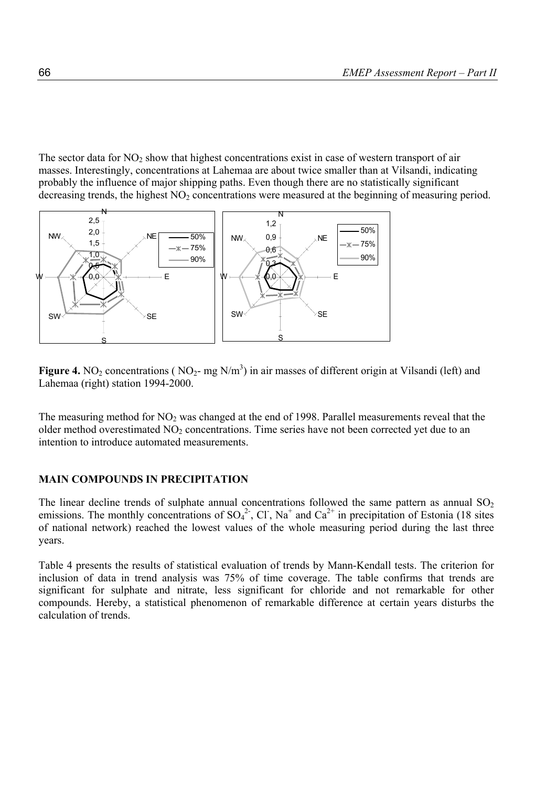The sector data for  $NO<sub>2</sub>$  show that highest concentrations exist in case of western transport of air masses. Interestingly, concentrations at Lahemaa are about twice smaller than at Vilsandi, indicating probably the influence of major shipping paths. Even though there are no statistically significant decreasing trends, the highest  $NO<sub>2</sub>$  concentrations were measured at the beginning of measuring period.



**Figure 4.** NO<sub>2</sub> concentrations ( NO<sub>2</sub>- mg N/m<sup>3</sup>) in air masses of different origin at Vilsandi (left) and Lahemaa (right) station 1994-2000.

The measuring method for  $NO<sub>2</sub>$  was changed at the end of 1998. Parallel measurements reveal that the older method overestimated  $NO<sub>2</sub>$  concentrations. Time series have not been corrected yet due to an intention to introduce automated measurements.

#### **MAIN COMPOUNDS IN PRECIPITATION**

The linear decline trends of sulphate annual concentrations followed the same pattern as annual  $SO_2$ emissions. The monthly concentrations of  $SO_4^2$ , Cl, Na<sup>+</sup> and  $Ca^{2+}$  in precipitation of Estonia (18 sites of national network) reached the lowest values of the whole measuring period during the last three years.

Table 4 presents the results of statistical evaluation of trends by Mann-Kendall tests. The criterion for inclusion of data in trend analysis was 75% of time coverage. The table confirms that trends are significant for sulphate and nitrate, less significant for chloride and not remarkable for other compounds. Hereby, a statistical phenomenon of remarkable difference at certain years disturbs the calculation of trends.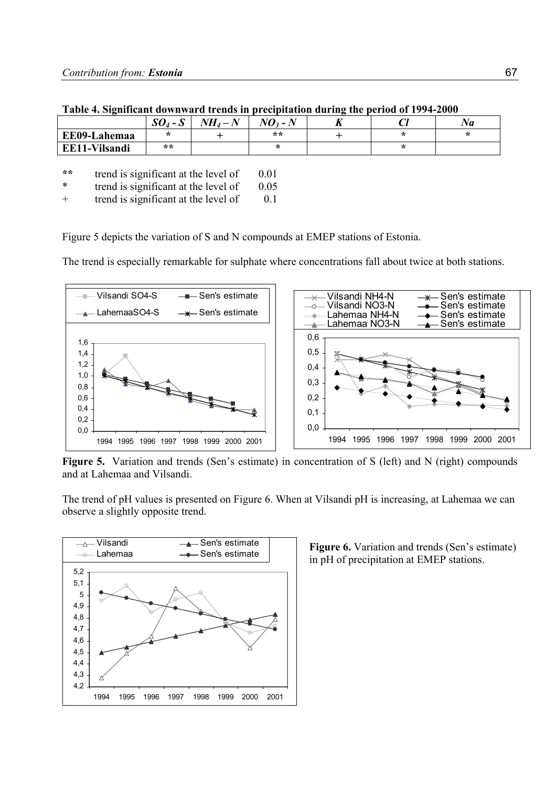|               | $\mathbf{\Omega}$<br>$SO_4$ - $S$ | $\mathbf{N}$<br><b>ATTT</b> | $\boldsymbol{\Omega}$ - $N$ | - | J. | vа |
|---------------|-----------------------------------|-----------------------------|-----------------------------|---|----|----|
| EE09-Lahemaa  | $\star$                           |                             | **                          |   |    |    |
| EE11-Vilsandi | **                                |                             | - 14                        |   |    |    |
|               |                                   |                             |                             |   |    |    |

| Table 4. Significant downward trends in precipitation during the period of 1994-2000 |  |  |  |  |  |
|--------------------------------------------------------------------------------------|--|--|--|--|--|
|                                                                                      |  |  |  |  |  |

\*\* **trend is significant at the level of 0.01** 

\* trend is significant at the level of 0.05

+ trend is significant at the level of 0.1

Figure 5 depicts the variation of S and N compounds at EMEP stations of Estonia.

The trend is especially remarkable for sulphate where concentrations fall about twice at both stations.



**Figure 5.** Variation and trends (Sen's estimate) in concentration of S (left) and N (right) compounds and at Lahemaa and Vilsandi.

The trend of pH values is presented on Figure 6. When at Vilsandi pH is increasing, at Lahemaa we can observe a slightly opposite trend.



**Figure 6.** Variation and trends (Sen's estimate) in pH of precipitation at EMEP stations.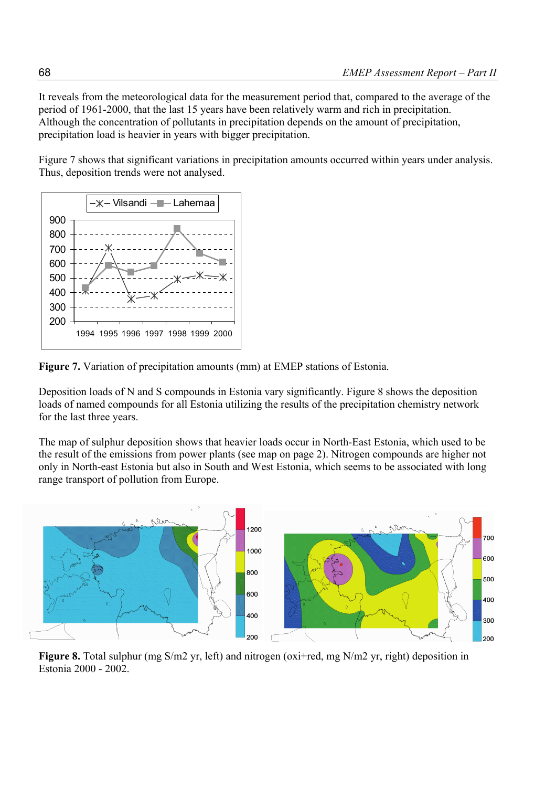It reveals from the meteorological data for the measurement period that, compared to the average of the period of 1961-2000, that the last 15 years have been relatively warm and rich in precipitation. Although the concentration of pollutants in precipitation depends on the amount of precipitation, precipitation load is heavier in years with bigger precipitation.

Figure 7 shows that significant variations in precipitation amounts occurred within years under analysis. Thus, deposition trends were not analysed.



**Figure 7.** Variation of precipitation amounts (mm) at EMEP stations of Estonia.

Deposition loads of N and S compounds in Estonia vary significantly. Figure 8 shows the deposition loads of named compounds for all Estonia utilizing the results of the precipitation chemistry network for the last three years.

The map of sulphur deposition shows that heavier loads occur in North-East Estonia, which used to be the result of the emissions from power plants (see map on page 2). Nitrogen compounds are higher not only in North-east Estonia but also in South and West Estonia, which seems to be associated with long range transport of pollution from Europe.



**Figure 8.** Total sulphur (mg S/m2 yr, left) and nitrogen (oxi+red, mg N/m2 yr, right) deposition in Estonia 2000 - 2002.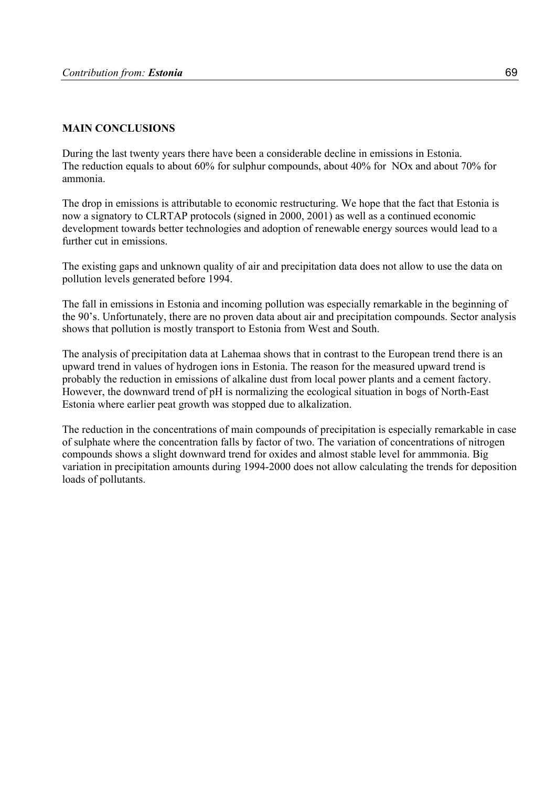# **MAIN CONCLUSIONS**

During the last twenty years there have been a considerable decline in emissions in Estonia. The reduction equals to about 60% for sulphur compounds, about 40% for NOx and about 70% for ammonia.

The drop in emissions is attributable to economic restructuring. We hope that the fact that Estonia is now a signatory to CLRTAP protocols (signed in 2000, 2001) as well as a continued economic development towards better technologies and adoption of renewable energy sources would lead to a further cut in emissions.

The existing gaps and unknown quality of air and precipitation data does not allow to use the data on pollution levels generated before 1994.

The fall in emissions in Estonia and incoming pollution was especially remarkable in the beginning of the 90's. Unfortunately, there are no proven data about air and precipitation compounds. Sector analysis shows that pollution is mostly transport to Estonia from West and South.

The analysis of precipitation data at Lahemaa shows that in contrast to the European trend there is an upward trend in values of hydrogen ions in Estonia. The reason for the measured upward trend is probably the reduction in emissions of alkaline dust from local power plants and a cement factory. However, the downward trend of pH is normalizing the ecological situation in bogs of North-East Estonia where earlier peat growth was stopped due to alkalization.

The reduction in the concentrations of main compounds of precipitation is especially remarkable in case of sulphate where the concentration falls by factor of two. The variation of concentrations of nitrogen compounds shows a slight downward trend for oxides and almost stable level for ammmonia. Big variation in precipitation amounts during 1994-2000 does not allow calculating the trends for deposition loads of pollutants.